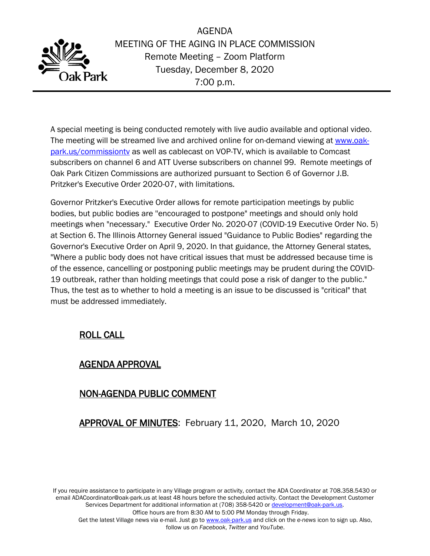

AGENDA MEETING OF THE AGING IN PLACE COMMISSION Remote Meeting – Zoom Platform Tuesday, December 8, 2020 7:00 p.m.

A special meeting is being conducted remotely with live audio available and optional video. The meeting will be streamed live and archived online for on-demand viewing at [www.oak](http://www.oak-park.us/commissiontv)[park.us/commissiontv](http://www.oak-park.us/commissiontv) as well as cablecast on VOP-TV, which is available to Comcast subscribers on channel 6 and ATT Uverse subscribers on channel 99. Remote meetings of Oak Park Citizen Commissions are authorized pursuant to Section 6 of Governor J.B. Pritzker's Executive Order 2020-07, with limitations.

Governor Pritzker's Executive Order allows for remote participation meetings by public bodies, but public bodies are ''encouraged to postpone" meetings and should only hold meetings when "necessary." Executive Order No. 2020-07 (COVID-19 Executive Order No. 5) at Section 6. The Illinois Attorney General issued "Guidance to Public Bodies" regarding the Governor's Executive Order on April 9, 2020. In that guidance, the Attorney General states, "Where a public body does not have critical issues that must be addressed because time is of the essence, cancelling or postponing public meetings may be prudent during the COVID-19 outbreak, rather than holding meetings that could pose a risk of danger to the public." Thus, the test as to whether to hold a meeting is an issue to be discussed is "critical" that must be addressed immediately.

# ROLL CALL

### AGENDA APPROVAL

# NON-AGENDA PUBLIC COMMENT

APPROVAL OF MINUTES: February 11, 2020, March 10, 2020

If you require assistance to participate in any Village program or activity, contact the ADA Coordinator at 708.358.5430 or email ADACoordinator@oak-park.us at least 48 hours before the scheduled activity. Contact the Development Customer Services Department for additional information at (708) 358-5420 or [development@oak-park.us.](mailto:development@oak-park.us)

Office hours are from 8:30 AM to 5:00 PM Monday through Friday.

Get the latest Village news via e-mail. Just go to [www.oak-park.us](http://www.oak-park.us/) and click on the *e-news* icon to sign up. Also, follow us on *Facebook*, *Twitter* and *YouTube*.